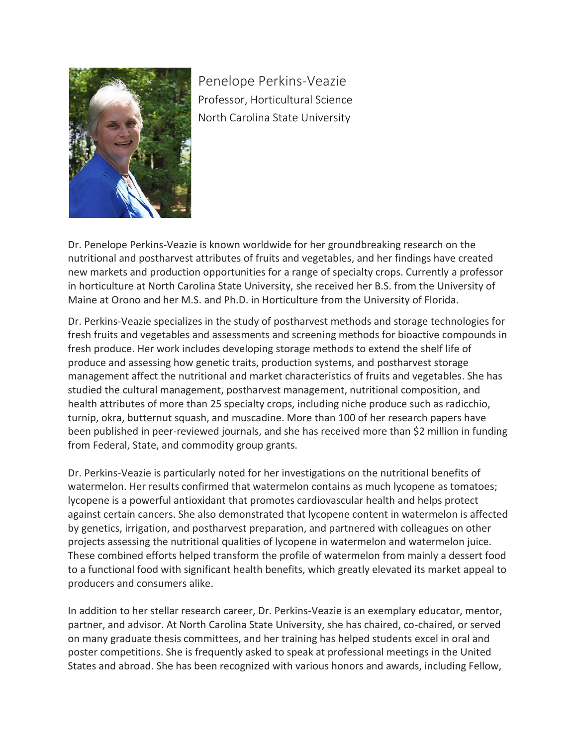

Penelope Perkins-Veazie Professor, Horticultural Science North Carolina State University

Dr. Penelope Perkins-Veazie is known worldwide for her groundbreaking research on the nutritional and postharvest attributes of fruits and vegetables, and her findings have created new markets and production opportunities for a range of specialty crops. Currently a professor in horticulture at North Carolina State University, she received her B.S. from the University of Maine at Orono and her M.S. and Ph.D. in Horticulture from the University of Florida.

Dr. Perkins-Veazie specializes in the study of postharvest methods and storage technologies for fresh fruits and vegetables and assessments and screening methods for bioactive compounds in fresh produce. Her work includes developing storage methods to extend the shelf life of produce and assessing how genetic traits, production systems, and postharvest storage management affect the nutritional and market characteristics of fruits and vegetables. She has studied the cultural management, postharvest management, nutritional composition, and health attributes of more than 25 specialty crops, including niche produce such as radicchio, turnip, okra, butternut squash, and muscadine. More than 100 of her research papers have been published in peer-reviewed journals, and she has received more than \$2 million in funding from Federal, State, and commodity group grants.

Dr. Perkins-Veazie is particularly noted for her investigations on the nutritional benefits of watermelon. Her results confirmed that watermelon contains as much lycopene as tomatoes; lycopene is a powerful antioxidant that promotes cardiovascular health and helps protect against certain cancers. She also demonstrated that lycopene content in watermelon is affected by genetics, irrigation, and postharvest preparation, and partnered with colleagues on other projects assessing the nutritional qualities of lycopene in watermelon and watermelon juice. These combined efforts helped transform the profile of watermelon from mainly a dessert food to a functional food with significant health benefits, which greatly elevated its market appeal to producers and consumers alike.

In addition to her stellar research career, Dr. Perkins-Veazie is an exemplary educator, mentor, partner, and advisor. At North Carolina State University, she has chaired, co-chaired, or served on many graduate thesis committees, and her training has helped students excel in oral and poster competitions. She is frequently asked to speak at professional meetings in the United States and abroad. She has been recognized with various honors and awards, including Fellow,